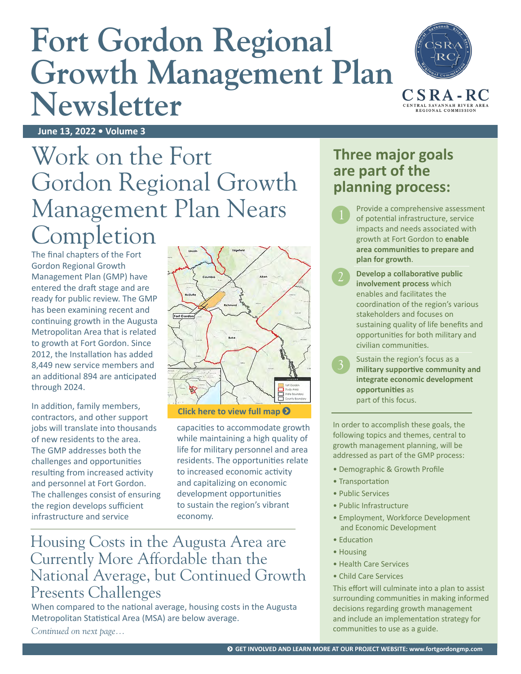# **Fort Gordon Regional**  Growth Management Plan CSRA-RC **Newsletter**



**June 13, 2022 • Volume 3**

# Work on the Fort Gordon Regional Growth Management Plan Nears Completion

The final chapters of the Fort Gordon Regional Growth Management Plan (GMP) have entered the draft stage and are ready for public review. The GMP has been examining recent and continuing growth in the Augusta Metropolitan Area that is related to growth at Fort Gordon. Since 2012, the Installation has added 8,449 new service members and an additional 894 are anticipated through 2024.

In addition, family members, contractors, and other support jobs will translate into thousands of new residents to the area. The GMP addresses both the challenges and opportunities resulting from increased activity and personnel at Fort Gordon. The challenges consist of ensuring the region develops sufficient infrastructure and service



capacities to accommodate growth while maintaining a high quality of life for military personnel and area residents. The opportunities relate to increased economic activity and capitalizing on economic development opportunities to sustain the region's vibrant economy.

### Housing Costs in the Augusta Area are Currently More Affordable than the National Average, but Continued Growth Presents Challenges

When compared to the national average, housing costs in the Augusta Metropolitan Statistical Area (MSA) are below average. *Continued on next page...*

### **Three major goals are part of the planning process:**

- Provide a comprehensive assessment of potential infrastructure, service impacts and needs associated with growth at Fort Gordon to **enable area communities to prepare and plan for growth**.
- **Develop a collaborative public involvement process** which enables and facilitates the coordination of the region's various stakeholders and focuses on sustaining quality of life benefits and opportunities for both military and civilian communities.
- Sustain the region's focus as a **military supportive community and integrate economic development opportunities** as part of this focus.

In order to accomplish these goals, the following topics and themes, central to growth management planning, will be addressed as part of the GMP process:

- Demographic & Growth Profile
- Transportation
- Public Services
- Public Infrastructure
- Employment, Workforce Development and Economic Development
- Education
- Housing
- Health Care Services
- Child Care Services

This effort will culminate into a plan to assist surrounding communities in making informed decisions regarding growth management and include an implementation strategy for communities to use as a guide.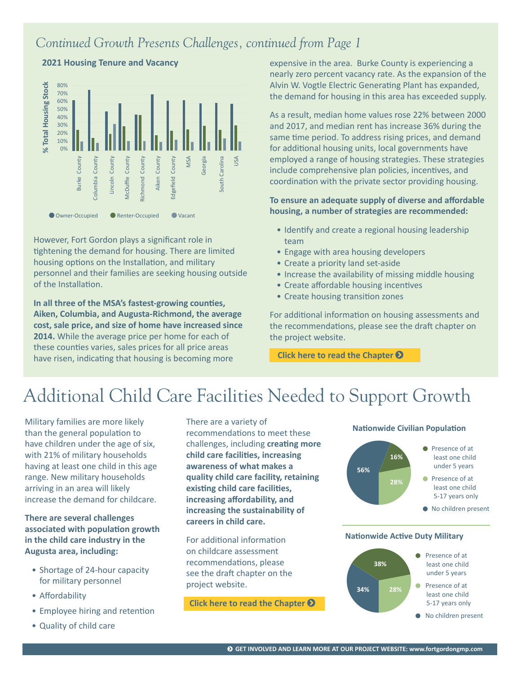#### *Continued Growth Presents Challenges, continued from Page 1*



**2021 Housing Tenure and Vacancy**

However, Fort Gordon plays a significant role in tightening the demand for housing. There are limited housing options on the Installation, and military personnel and their families are seeking housing outside of the Installation.

**In all three of the MSA's fastest-growing counties, Aiken, Columbia, and Augusta-Richmond, the average cost, sale price, and size of home have increased since 2014.** While the average price per home for each of these counties varies, sales prices for all price areas have risen, indicating that housing is becoming more

expensive in the area. Burke County is experiencing a nearly zero percent vacancy rate. As the expansion of the Alvin W. Vogtle Electric Generating Plant has expanded, the demand for housing in this area has exceeded supply.

As a result, median home values rose 22% between 2000 and 2017, and median rent has increase 36% during the same time period. To address rising prices, and demand for additional housing units, local governments have employed a range of housing strategies. These strategies include comprehensive plan policies, incentives, and coordination with the private sector providing housing.

#### **To ensure an adequate supply of diverse and affordable housing, a number of strategies are recommended:**

- Identify and create a regional housing leadership team
- Engage with area housing developers
- Create a priority land set-aside
- Increase the availability of missing middle housing
- Create affordable housing incentives
- Create housing transition zones

For additional information on housing assessments and the recommendations, please see the draft chapter on the project website.

**Click here to read the Chapter** 

# Additional Child Care Facilities Needed to Support Growth

Military families are more likely than the general population to have children under the age of six, with 21% of military households having at least one child in this age range. New military households arriving in an area will likely increase the demand for childcare.

#### **There are several challenges associated with population growth in the child care industry in the Augusta area, including:**

- Shortage of 24-hour capacity for military personnel
- Affordability
- Employee hiring and retention
- Quality of child care

There are a variety of recommendations to meet these challenges, including **creating more child care facilities, increasing awareness of what makes a quality child care facility, retaining existing child care facilities, increasing affordability, and increasing the sustainability of careers in child care.** 

For additional information on childcare assessment recommendations, please see the draft chapter on the project website.

**Click here to read the Chapter** 





#### **Nationwide Active Duty Military**